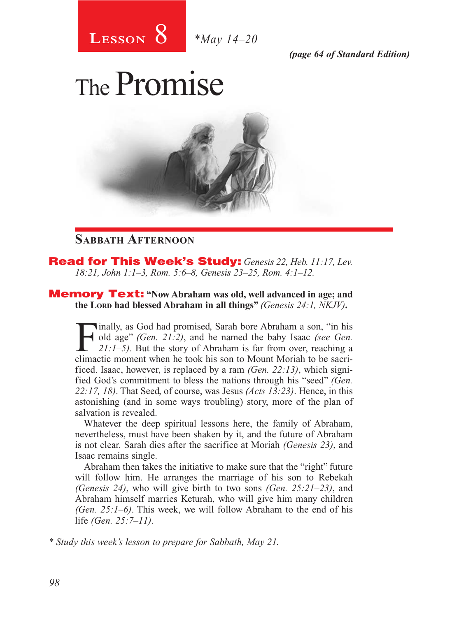

*(page 64 of Standard Edition)*

# The Promise



### **Sabbath Afternoon**

Read for This Week's Study: *Genesis 22, Heb. 11:17, Lev. 18:21, John 1:1–3, Rom. 5:6–8, Genesis 23–25, Rom. 4:1–12.*

Memory Text: **"Now Abraham was old, well advanced in age; and the Lord had blessed Abraham in all things"** *(Genesis 24:1, NKJV)***.** 

Finally, as God had promised, Sarah bore Abraham a son, "in his old age" (*Gen. 21:2)*, and he named the baby Isaac *(see Gen. 21:1–5)*. But the story of Abraham is far from over, reaching a climatic moment when he took h old age" *(Gen. 21:2)*, and he named the baby Isaac *(see Gen. 21:1–5)*. But the story of Abraham is far from over, reaching a climactic moment when he took his son to Mount Moriah to be sacrificed. Isaac, however, is replaced by a ram *(Gen. 22:13)*, which signified God's commitment to bless the nations through his "seed" *(Gen. 22:17, 18)*. That Seed, of course, was Jesus *(Acts 13:23)*. Hence, in this astonishing (and in some ways troubling) story, more of the plan of salvation is revealed.

Whatever the deep spiritual lessons here, the family of Abraham, nevertheless, must have been shaken by it, and the future of Abraham is not clear. Sarah dies after the sacrifice at Moriah *(Genesis 23)*, and Isaac remains single.

Abraham then takes the initiative to make sure that the "right" future will follow him. He arranges the marriage of his son to Rebekah *(Genesis 24)*, who will give birth to two sons *(Gen. 25:21–23)*, and Abraham himself marries Keturah, who will give him many children *(Gen. 25:1–6)*. This week, we will follow Abraham to the end of his life *(Gen. 25:7–11)*.

*\* Study this week's lesson to prepare for Sabbath, May 21.*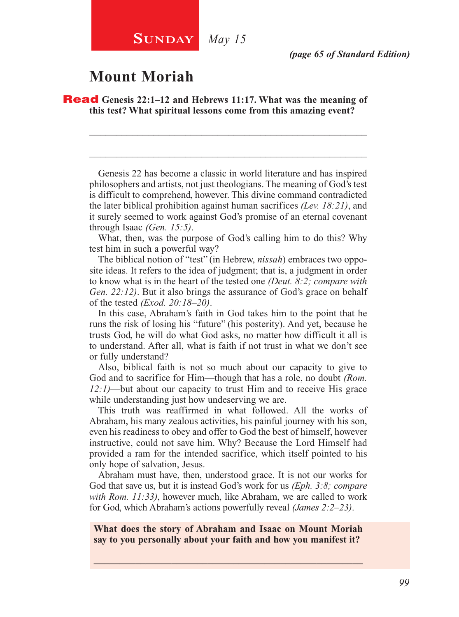# **Mount Moriah**

Read **Genesis 22:1–12 and Hebrews 11:17. What was the meaning of this test? What spiritual lessons come from this amazing event?**

Genesis 22 has become a classic in world literature and has inspired philosophers and artists, not just theologians. The meaning of God's test is difficult to comprehend, however. This divine command contradicted the later biblical prohibition against human sacrifices *(Lev. 18:21)*, and it surely seemed to work against God's promise of an eternal covenant through Isaac *(Gen. 15:5)*.

\_\_\_\_\_\_\_\_\_\_\_\_\_\_\_\_\_\_\_\_\_\_\_\_\_\_\_\_\_\_\_\_\_\_\_\_\_\_\_\_\_\_\_\_\_\_\_\_\_\_\_\_

\_\_\_\_\_\_\_\_\_\_\_\_\_\_\_\_\_\_\_\_\_\_\_\_\_\_\_\_\_\_\_\_\_\_\_\_\_\_\_\_\_\_\_\_\_\_\_\_\_\_\_\_

What, then, was the purpose of God's calling him to do this? Why test him in such a powerful way?

The biblical notion of "test" (in Hebrew, *nissah*) embraces two opposite ideas. It refers to the idea of judgment; that is, a judgment in order to know what is in the heart of the tested one *(Deut. 8:2; compare with Gen. 22:12)*. But it also brings the assurance of God's grace on behalf of the tested *(Exod. 20:18–20)*.

In this case, Abraham's faith in God takes him to the point that he runs the risk of losing his "future" (his posterity). And yet, because he trusts God, he will do what God asks, no matter how difficult it all is to understand. After all, what is faith if not trust in what we don't see or fully understand?

Also, biblical faith is not so much about our capacity to give to God and to sacrifice for Him—though that has a role, no doubt *(Rom. 12:1)*—but about our capacity to trust Him and to receive His grace while understanding just how undeserving we are.

This truth was reaffirmed in what followed. All the works of Abraham, his many zealous activities, his painful journey with his son, even his readiness to obey and offer to God the best of himself, however instructive, could not save him. Why? Because the Lord Himself had provided a ram for the intended sacrifice, which itself pointed to his only hope of salvation, Jesus.

Abraham must have, then, understood grace. It is not our works for God that save us, but it is instead God's work for us *(Eph. 3:8; compare with Rom. 11:33)*, however much, like Abraham, we are called to work for God, which Abraham's actions powerfully reveal *(James 2:2–23)*.

**What does the story of Abraham and Isaac on Mount Moriah say to you personally about your faith and how you manifest it?**

\_\_\_\_\_\_\_\_\_\_\_\_\_\_\_\_\_\_\_\_\_\_\_\_\_\_\_\_\_\_\_\_\_\_\_\_\_\_\_\_\_\_\_\_\_\_\_\_\_\_\_\_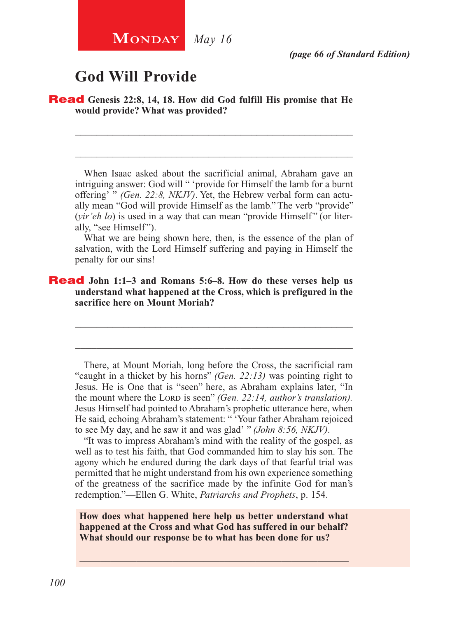# **God Will Provide**

Read **Genesis 22:8, 14, 18. How did God fulfill His promise that He would provide? What was provided?**

When Isaac asked about the sacrificial animal, Abraham gave an intriguing answer: God will " 'provide for Himself the lamb for a burnt offering' " *(Gen. 22:8, NKJV)*. Yet, the Hebrew verbal form can actually mean "God will provide Himself as the lamb." The verb "provide" (*vir'eh lo*) is used in a way that can mean "provide Himself" (or literally, "see Himself").

\_\_\_\_\_\_\_\_\_\_\_\_\_\_\_\_\_\_\_\_\_\_\_\_\_\_\_\_\_\_\_\_\_\_\_\_\_\_\_\_\_\_\_\_\_\_\_\_\_\_\_\_

\_\_\_\_\_\_\_\_\_\_\_\_\_\_\_\_\_\_\_\_\_\_\_\_\_\_\_\_\_\_\_\_\_\_\_\_\_\_\_\_\_\_\_\_\_\_\_\_\_\_\_\_

What we are being shown here, then, is the essence of the plan of salvation, with the Lord Himself suffering and paying in Himself the penalty for our sins!

\_\_\_\_\_\_\_\_\_\_\_\_\_\_\_\_\_\_\_\_\_\_\_\_\_\_\_\_\_\_\_\_\_\_\_\_\_\_\_\_\_\_\_\_\_\_\_\_\_\_\_\_

\_\_\_\_\_\_\_\_\_\_\_\_\_\_\_\_\_\_\_\_\_\_\_\_\_\_\_\_\_\_\_\_\_\_\_\_\_\_\_\_\_\_\_\_\_\_\_\_\_\_\_\_

### Read **John 1:1–3 and Romans 5:6–8. How do these verses help us understand what happened at the Cross, which is prefigured in the sacrifice here on Mount Moriah?**

There, at Mount Moriah, long before the Cross, the sacrificial ram "caught in a thicket by his horns" *(Gen. 22:13)* was pointing right to Jesus. He is One that is "seen" here, as Abraham explains later, "In the mount where the Lorp is seen" *(Gen. 22:14, author's translation)*. Jesus Himself had pointed to Abraham's prophetic utterance here, when He said, echoing Abraham's statement: " 'Your father Abraham rejoiced to see My day, and he saw it and was glad' " *(John 8:56, NKJV)*.

"It was to impress Abraham's mind with the reality of the gospel, as well as to test his faith, that God commanded him to slay his son. The agony which he endured during the dark days of that fearful trial was permitted that he might understand from his own experience something of the greatness of the sacrifice made by the infinite God for man's redemption."—Ellen G. White, *Patriarchs and Prophets*, p. 154.

**How does what happened here help us better understand what happened at the Cross and what God has suffered in our behalf? What should our response be to what has been done for us?**

\_\_\_\_\_\_\_\_\_\_\_\_\_\_\_\_\_\_\_\_\_\_\_\_\_\_\_\_\_\_\_\_\_\_\_\_\_\_\_\_\_\_\_\_\_\_\_\_\_\_\_\_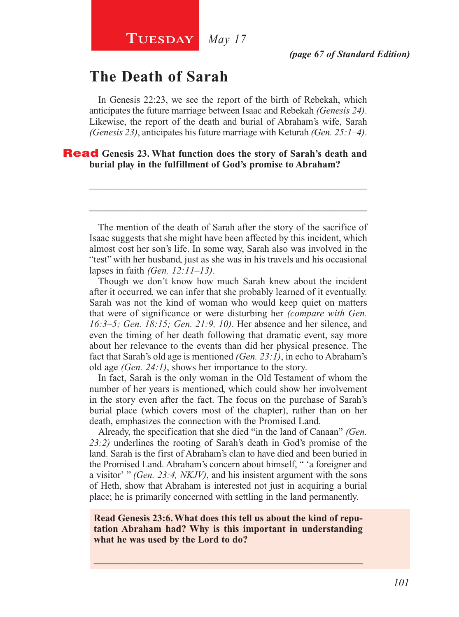# **The Death of Sarah**

In Genesis 22:23, we see the report of the birth of Rebekah, which anticipates the future marriage between Isaac and Rebekah *(Genesis 24)*. Likewise, the report of the death and burial of Abraham's wife, Sarah *(Genesis 23)*, anticipates his future marriage with Keturah *(Gen. 25:1–4)*.

### Read **Genesis 23. What function does the story of Sarah's death and burial play in the fulfillment of God's promise to Abraham?**

The mention of the death of Sarah after the story of the sacrifice of Isaac suggests that she might have been affected by this incident, which almost cost her son's life. In some way, Sarah also was involved in the "test" with her husband, just as she was in his travels and his occasional lapses in faith *(Gen. 12:11–13)*.

\_\_\_\_\_\_\_\_\_\_\_\_\_\_\_\_\_\_\_\_\_\_\_\_\_\_\_\_\_\_\_\_\_\_\_\_\_\_\_\_\_\_\_\_\_\_\_\_\_\_\_\_

\_\_\_\_\_\_\_\_\_\_\_\_\_\_\_\_\_\_\_\_\_\_\_\_\_\_\_\_\_\_\_\_\_\_\_\_\_\_\_\_\_\_\_\_\_\_\_\_\_\_\_\_

Though we don't know how much Sarah knew about the incident after it occurred, we can infer that she probably learned of it eventually. Sarah was not the kind of woman who would keep quiet on matters that were of significance or were disturbing her *(compare with Gen. 16:3–5; Gen. 18:15; Gen. 21:9, 10)*. Her absence and her silence, and even the timing of her death following that dramatic event, say more about her relevance to the events than did her physical presence. The fact that Sarah's old age is mentioned *(Gen. 23:1)*, in echo to Abraham's old age *(Gen. 24:1)*, shows her importance to the story.

In fact, Sarah is the only woman in the Old Testament of whom the number of her years is mentioned, which could show her involvement in the story even after the fact. The focus on the purchase of Sarah's burial place (which covers most of the chapter), rather than on her death, emphasizes the connection with the Promised Land.

Already, the specification that she died "in the land of Canaan" *(Gen. 23:2)* underlines the rooting of Sarah's death in God's promise of the land. Sarah is the first of Abraham's clan to have died and been buried in the Promised Land. Abraham's concern about himself, " 'a foreigner and a visitor' " *(Gen. 23:4, NKJV)*, and his insistent argument with the sons of Heth, show that Abraham is interested not just in acquiring a burial place; he is primarily concerned with settling in the land permanently.

**Read Genesis 23:6. What does this tell us about the kind of reputation Abraham had? Why is this important in understanding what he was used by the Lord to do?** 

\_\_\_\_\_\_\_\_\_\_\_\_\_\_\_\_\_\_\_\_\_\_\_\_\_\_\_\_\_\_\_\_\_\_\_\_\_\_\_\_\_\_\_\_\_\_\_\_\_\_\_\_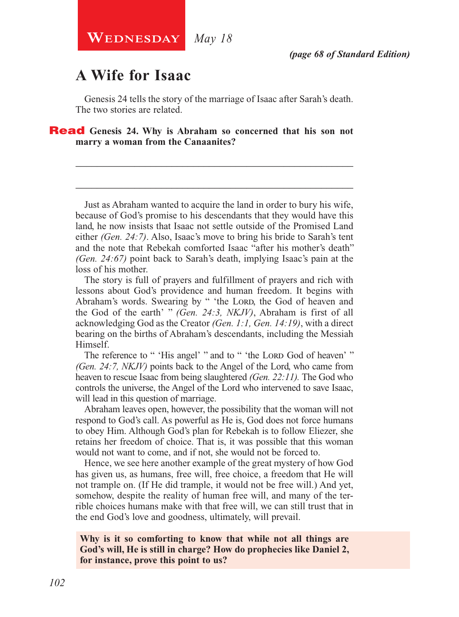# **A Wife for Isaac**

Genesis 24 tells the story of the marriage of Isaac after Sarah's death. The two stories are related.

\_\_\_\_\_\_\_\_\_\_\_\_\_\_\_\_\_\_\_\_\_\_\_\_\_\_\_\_\_\_\_\_\_\_\_\_\_\_\_\_\_\_\_\_\_\_\_\_\_\_\_\_

\_\_\_\_\_\_\_\_\_\_\_\_\_\_\_\_\_\_\_\_\_\_\_\_\_\_\_\_\_\_\_\_\_\_\_\_\_\_\_\_\_\_\_\_\_\_\_\_\_\_\_\_

Read **Genesis 24. Why is Abraham so concerned that his son not marry a woman from the Canaanites?**

Just as Abraham wanted to acquire the land in order to bury his wife, because of God's promise to his descendants that they would have this land, he now insists that Isaac not settle outside of the Promised Land either *(Gen. 24:7)*. Also, Isaac's move to bring his bride to Sarah's tent and the note that Rebekah comforted Isaac "after his mother's death" *(Gen. 24:67)* point back to Sarah's death, implying Isaac's pain at the loss of his mother.

The story is full of prayers and fulfillment of prayers and rich with lessons about God's providence and human freedom. It begins with Abraham's words. Swearing by " 'the Lord, the God of heaven and the God of the earth' " *(Gen. 24:3, NKJV)*, Abraham is first of all acknowledging God as the Creator *(Gen. 1:1, Gen. 14:19)*, with a direct bearing on the births of Abraham's descendants, including the Messiah Himself.

The reference to " 'His angel' " and to " 'the Lord God of heaven' " *(Gen. 24:7, NKJV)* points back to the Angel of the Lord, who came from heaven to rescue Isaac from being slaughtered *(Gen. 22:11).* The God who controls the universe, the Angel of the Lord who intervened to save Isaac, will lead in this question of marriage.

Abraham leaves open, however, the possibility that the woman will not respond to God's call. As powerful as He is, God does not force humans to obey Him. Although God's plan for Rebekah is to follow Eliezer, she retains her freedom of choice. That is, it was possible that this woman would not want to come, and if not, she would not be forced to.

Hence, we see here another example of the great mystery of how God has given us, as humans, free will, free choice, a freedom that He will not trample on. (If He did trample, it would not be free will.) And yet, somehow, despite the reality of human free will, and many of the terrible choices humans make with that free will, we can still trust that in the end God's love and goodness, ultimately, will prevail.

**Why is it so comforting to know that while not all things are God's will, He is still in charge? How do prophecies like Daniel 2, for instance, prove this point to us?**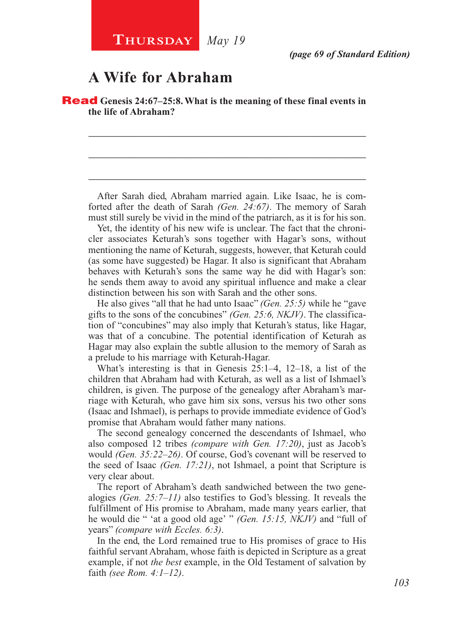# **A Wife for Abraham**

Read **Genesis 24:67–25:8. What is the meaning of these final events in the life of Abraham?**

After Sarah died, Abraham married again. Like Isaac, he is comforted after the death of Sarah *(Gen. 24:67)*. The memory of Sarah must still surely be vivid in the mind of the patriarch, as it is for his son.

\_\_\_\_\_\_\_\_\_\_\_\_\_\_\_\_\_\_\_\_\_\_\_\_\_\_\_\_\_\_\_\_\_\_\_\_\_\_\_\_\_\_\_\_\_\_\_\_\_\_\_\_

\_\_\_\_\_\_\_\_\_\_\_\_\_\_\_\_\_\_\_\_\_\_\_\_\_\_\_\_\_\_\_\_\_\_\_\_\_\_\_\_\_\_\_\_\_\_\_\_\_\_\_\_

\_\_\_\_\_\_\_\_\_\_\_\_\_\_\_\_\_\_\_\_\_\_\_\_\_\_\_\_\_\_\_\_\_\_\_\_\_\_\_\_\_\_\_\_\_\_\_\_\_\_\_\_

Yet, the identity of his new wife is unclear. The fact that the chronicler associates Keturah's sons together with Hagar's sons, without mentioning the name of Keturah, suggests, however, that Keturah could (as some have suggested) be Hagar. It also is significant that Abraham behaves with Keturah's sons the same way he did with Hagar's son: he sends them away to avoid any spiritual influence and make a clear distinction between his son with Sarah and the other sons.

He also gives "all that he had unto Isaac" *(Gen. 25:5)* while he "gave gifts to the sons of the concubines" *(Gen. 25:6, NKJV)*. The classification of "concubines" may also imply that Keturah's status, like Hagar, was that of a concubine. The potential identification of Keturah as Hagar may also explain the subtle allusion to the memory of Sarah as a prelude to his marriage with Keturah-Hagar.

What's interesting is that in Genesis 25:1–4, 12–18, a list of the children that Abraham had with Keturah, as well as a list of Ishmael's children, is given. The purpose of the genealogy after Abraham's marriage with Keturah, who gave him six sons, versus his two other sons (Isaac and Ishmael), is perhaps to provide immediate evidence of God's promise that Abraham would father many nations.

The second genealogy concerned the descendants of Ishmael, who also composed 12 tribes *(compare with Gen. 17:20)*, just as Jacob's would *(Gen. 35:22–26)*. Of course, God's covenant will be reserved to the seed of Isaac *(Gen. 17:21)*, not Ishmael, a point that Scripture is very clear about.

The report of Abraham's death sandwiched between the two genealogies *(Gen. 25:7–11)* also testifies to God's blessing. It reveals the fulfillment of His promise to Abraham, made many years earlier, that he would die " 'at a good old age' " *(Gen. 15:15, NKJV)* and "full of years" *(compare with Eccles. 6:3)*.

In the end, the Lord remained true to His promises of grace to His faithful servant Abraham, whose faith is depicted in Scripture as a great example, if not *the best* example, in the Old Testament of salvation by faith *(see Rom. 4:1–12)*.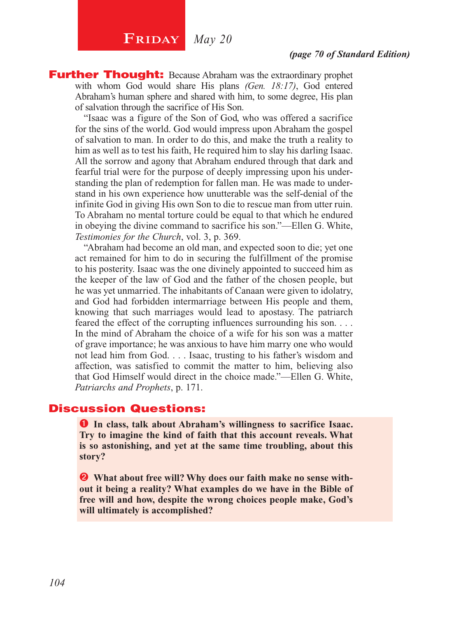# **FRIDAY** *May 20*

**Further Thought:** Because Abraham was the extraordinary prophet with whom God would share His plans *(Gen. 18:17)*, God entered Abraham's human sphere and shared with him, to some degree, His plan of salvation through the sacrifice of His Son.

"Isaac was a figure of the Son of God, who was offered a sacrifice for the sins of the world. God would impress upon Abraham the gospel of salvation to man. In order to do this, and make the truth a reality to him as well as to test his faith, He required him to slay his darling Isaac. All the sorrow and agony that Abraham endured through that dark and fearful trial were for the purpose of deeply impressing upon his understanding the plan of redemption for fallen man. He was made to understand in his own experience how unutterable was the self-denial of the infinite God in giving His own Son to die to rescue man from utter ruin. To Abraham no mental torture could be equal to that which he endured in obeying the divine command to sacrifice his son."—Ellen G. White, *Testimonies for the Church*, vol. 3, p. 369.

"Abraham had become an old man, and expected soon to die; yet one act remained for him to do in securing the fulfillment of the promise to his posterity. Isaac was the one divinely appointed to succeed him as the keeper of the law of God and the father of the chosen people, but he was yet unmarried. The inhabitants of Canaan were given to idolatry, and God had forbidden intermarriage between His people and them, knowing that such marriages would lead to apostasy. The patriarch feared the effect of the corrupting influences surrounding his son. . . . In the mind of Abraham the choice of a wife for his son was a matter of grave importance; he was anxious to have him marry one who would not lead him from God. . . . Isaac, trusting to his father's wisdom and affection, was satisfied to commit the matter to him, believing also that God Himself would direct in the choice made."—Ellen G. White, *Patriarchs and Prophets*, p. 171.

### Discussion Questions:

**O** In class, talk about Abraham's willingness to sacrifice Isaac. **Try to imagine the kind of faith that this account reveals. What is so astonishing, and yet at the same time troubling, about this story?** 

 **What about free will? Why does our faith make no sense without it being a reality? What examples do we have in the Bible of free will and how, despite the wrong choices people make, God's will ultimately is accomplished?**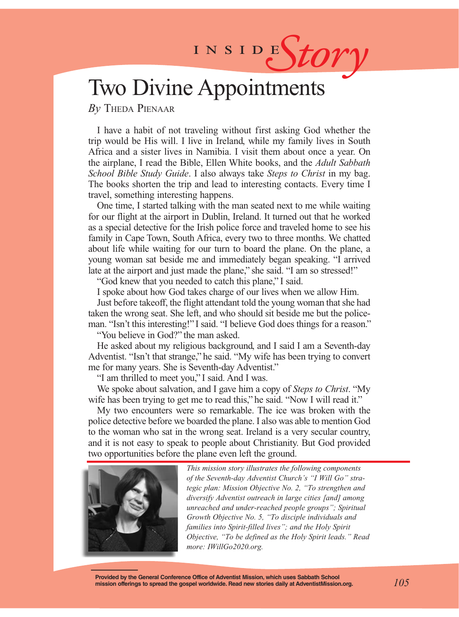# INSIDES*tory*

# Two Divine Appointments

*By* Theda Pienaar

I have a habit of not traveling without first asking God whether the trip would be His will. I live in Ireland, while my family lives in South Africa and a sister lives in Namibia. I visit them about once a year. On the airplane, I read the Bible, Ellen White books, and the *Adult Sabbath School Bible Study Guide*. I also always take *Steps to Christ* in my bag. The books shorten the trip and lead to interesting contacts. Every time I travel, something interesting happens.

One time, I started talking with the man seated next to me while waiting for our flight at the airport in Dublin, Ireland. It turned out that he worked as a special detective for the Irish police force and traveled home to see his family in Cape Town, South Africa, every two to three months. We chatted about life while waiting for our turn to board the plane. On the plane, a young woman sat beside me and immediately began speaking. "I arrived late at the airport and just made the plane," she said. "I am so stressed!"

"God knew that you needed to catch this plane," I said.

I spoke about how God takes charge of our lives when we allow Him.

Just before takeoff, the flight attendant told the young woman that she had taken the wrong seat. She left, and who should sit beside me but the policeman. "Isn't this interesting!" I said. "I believe God does things for a reason."

"You believe in God?" the man asked.

He asked about my religious background, and I said I am a Seventh-day Adventist. "Isn't that strange," he said. "My wife has been trying to convert me for many years. She is Seventh-day Adventist."

"I am thrilled to meet you," I said. And I was.

We spoke about salvation, and I gave him a copy of *Steps to Christ*. "My wife has been trying to get me to read this," he said. "Now I will read it."

My two encounters were so remarkable. The ice was broken with the police detective before we boarded the plane. I also was able to mention God to the woman who sat in the wrong seat. Ireland is a very secular country, and it is not easy to speak to people about Christianity. But God provided two opportunities before the plane even left the ground.



*This mission story illustrates the following components of the Seventh-day Adventist Church's "I Will Go" strategic plan: Mission Objective No. 2, "To strengthen and diversify Adventist outreach in large cities [and] among unreached and under-reached people groups"; Spiritual Growth Objective No. 5, "To disciple individuals and families into Spirit-filled lives"; and the Holy Spirit Objective, "To be defined as the Holy Spirit leads." Read more: IWillGo2020.org.*

**Provided by the General Conference Office of Adventist Mission, which uses Sabbath School mission offerings to spread the gospel worldwide. Read new stories daily at AdventistMission.org.**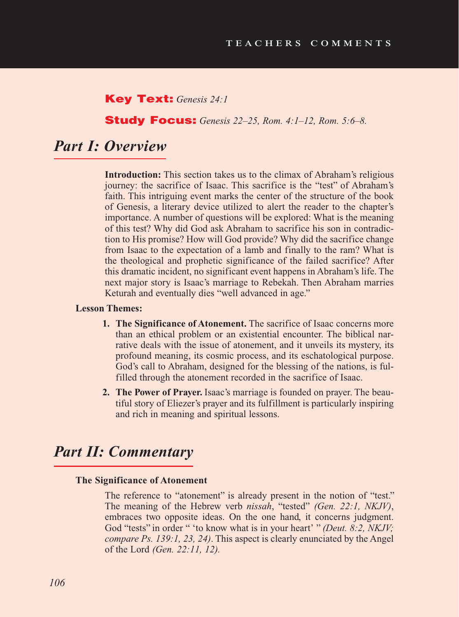### Key Text: *Genesis 24:1*

### Study Focus: *Genesis 22–25, Rom. 4:1–12, Rom. 5:6–8.*

## *Part I: Overview*

**Introduction:** This section takes us to the climax of Abraham's religious journey: the sacrifice of Isaac. This sacrifice is the "test" of Abraham's faith. This intriguing event marks the center of the structure of the book of Genesis, a literary device utilized to alert the reader to the chapter's importance. A number of questions will be explored: What is the meaning of this test? Why did God ask Abraham to sacrifice his son in contradiction to His promise? How will God provide? Why did the sacrifice change from Isaac to the expectation of a lamb and finally to the ram? What is the theological and prophetic significance of the failed sacrifice? After this dramatic incident, no significant event happens in Abraham's life. The next major story is Isaac's marriage to Rebekah. Then Abraham marries Keturah and eventually dies "well advanced in age."

#### **Lesson Themes:**

- **1. The Significance of Atonement.** The sacrifice of Isaac concerns more than an ethical problem or an existential encounter. The biblical narrative deals with the issue of atonement, and it unveils its mystery, its profound meaning, its cosmic process, and its eschatological purpose. God's call to Abraham, designed for the blessing of the nations, is fulfilled through the atonement recorded in the sacrifice of Isaac.
- **2. The Power of Prayer.** Isaac's marriage is founded on prayer. The beautiful story of Eliezer's prayer and its fulfillment is particularly inspiring and rich in meaning and spiritual lessons.

## *Part II: Commentary*

#### **The Significance of Atonement**

The reference to "atonement" is already present in the notion of "test." The meaning of the Hebrew verb *nissah*, "tested" *(Gen. 22:1, NKJV)*, embraces two opposite ideas. On the one hand, it concerns judgment. God "tests" in order " 'to know what is in your heart' " *(Deut. 8:2, NKJV; compare Ps. 139:1, 23, 24)*. This aspect is clearly enunciated by the Angel of the Lord *(Gen. 22:11, 12).*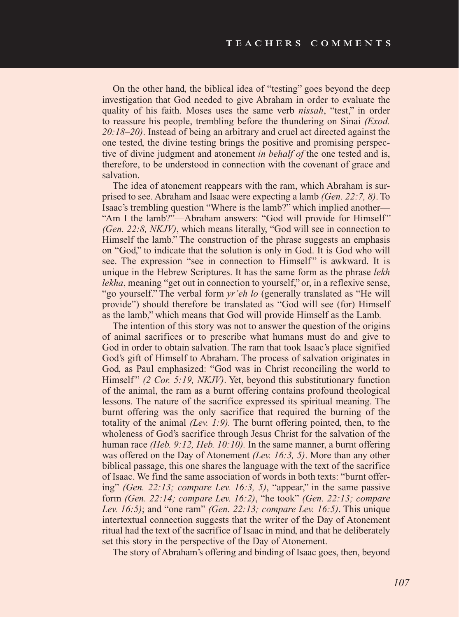On the other hand, the biblical idea of "testing" goes beyond the deep investigation that God needed to give Abraham in order to evaluate the quality of his faith. Moses uses the same verb *nissah*, "test," in order to reassure his people, trembling before the thundering on Sinai *(Exod. 20:18–20)*. Instead of being an arbitrary and cruel act directed against the one tested, the divine testing brings the positive and promising perspective of divine judgment and atonement *in behalf of* the one tested and is, therefore, to be understood in connection with the covenant of grace and salvation.

The idea of atonement reappears with the ram, which Abraham is surprised to see. Abraham and Isaac were expecting a lamb *(Gen. 22:7, 8)*. To Isaac's trembling question "Where is the lamb?" which implied another— "Am I the lamb?"—Abraham answers: "God will provide for Himself" *(Gen. 22:8, NKJV)*, which means literally, "God will see in connection to Himself the lamb." The construction of the phrase suggests an emphasis on "God," to indicate that the solution is only in God. It is God who will see. The expression "see in connection to Himself" is awkward. It is unique in the Hebrew Scriptures. It has the same form as the phrase *lekh lekha*, meaning "get out in connection to yourself," or, in a reflexive sense, "go yourself." The verbal form *yr'eh lo* (generally translated as "He will provide") should therefore be translated as "God will see (for) Himself as the lamb," which means that God will provide Himself as the Lamb.

The intention of this story was not to answer the question of the origins of animal sacrifices or to prescribe what humans must do and give to God in order to obtain salvation. The ram that took Isaac's place signified God's gift of Himself to Abraham. The process of salvation originates in God, as Paul emphasized: "God was in Christ reconciling the world to Himself" (2 Cor. 5:19, NKJV). Yet, beyond this substitutionary function of the animal, the ram as a burnt offering contains profound theological lessons. The nature of the sacrifice expressed its spiritual meaning. The burnt offering was the only sacrifice that required the burning of the totality of the animal *(Lev. 1:9).* The burnt offering pointed, then, to the wholeness of God's sacrifice through Jesus Christ for the salvation of the human race *(Heb. 9:12, Heb. 10:10).* In the same manner, a burnt offering was offered on the Day of Atonement *(Lev. 16:3, 5)*. More than any other biblical passage, this one shares the language with the text of the sacrifice of Isaac. We find the same association of words in both texts: "burnt offering" *(Gen. 22:13; compare Lev. 16:3, 5)*, "appear," in the same passive form *(Gen. 22:14; compare Lev. 16:2)*, "he took" *(Gen. 22:13; compare Lev. 16:5)*; and "one ram" *(Gen. 22:13; compare Lev. 16:5)*. This unique intertextual connection suggests that the writer of the Day of Atonement ritual had the text of the sacrifice of Isaac in mind, and that he deliberately set this story in the perspective of the Day of Atonement.

The story of Abraham's offering and binding of Isaac goes, then, beyond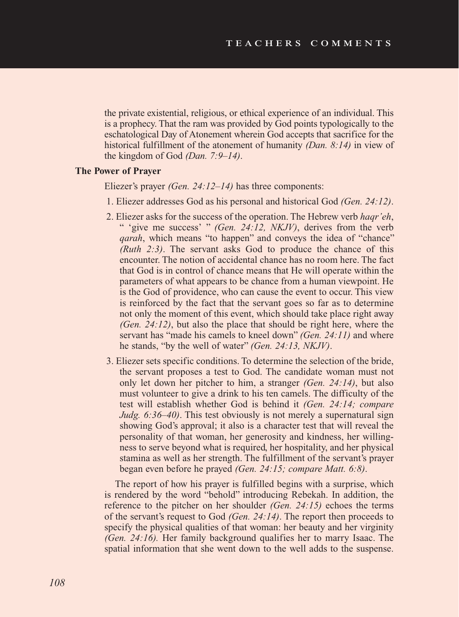the private existential, religious, or ethical experience of an individual. This is a prophecy. That the ram was provided by God points typologically to the eschatological Day of Atonement wherein God accepts that sacrifice for the historical fulfillment of the atonement of humanity *(Dan. 8:14)* in view of the kingdom of God *(Dan. 7:9–14)*.

### **The Power of Prayer**

Eliezer's prayer *(Gen. 24:12–14)* has three components:

- 1. Eliezer addresses God as his personal and historical God *(Gen. 24:12)*.
- 2. Eliezer asks for the success of the operation. The Hebrew verb *haqr'eh*, " 'give me success' " *(Gen. 24:12, NKJV)*, derives from the verb *qarah*, which means "to happen" and conveys the idea of "chance" *(Ruth 2:3)*. The servant asks God to produce the chance of this encounter. The notion of accidental chance has no room here. The fact that God is in control of chance means that He will operate within the parameters of what appears to be chance from a human viewpoint. He is the God of providence, who can cause the event to occur. This view is reinforced by the fact that the servant goes so far as to determine not only the moment of this event, which should take place right away *(Gen. 24:12)*, but also the place that should be right here, where the servant has "made his camels to kneel down" *(Gen. 24:11)* and where he stands, "by the well of water" *(Gen. 24:13, NKJV)*.
- 3. Eliezer sets specific conditions. To determine the selection of the bride, the servant proposes a test to God. The candidate woman must not only let down her pitcher to him, a stranger *(Gen. 24:14)*, but also must volunteer to give a drink to his ten camels. The difficulty of the test will establish whether God is behind it *(Gen. 24:14; compare Judg. 6:36–40)*. This test obviously is not merely a supernatural sign showing God's approval; it also is a character test that will reveal the personality of that woman, her generosity and kindness, her willingness to serve beyond what is required, her hospitality, and her physical stamina as well as her strength. The fulfillment of the servant's prayer began even before he prayed *(Gen. 24:15; compare Matt. 6:8)*.

The report of how his prayer is fulfilled begins with a surprise, which is rendered by the word "behold" introducing Rebekah. In addition, the reference to the pitcher on her shoulder *(Gen. 24:15)* echoes the terms of the servant's request to God *(Gen. 24:14)*. The report then proceeds to specify the physical qualities of that woman: her beauty and her virginity *(Gen. 24:16).* Her family background qualifies her to marry Isaac. The spatial information that she went down to the well adds to the suspense.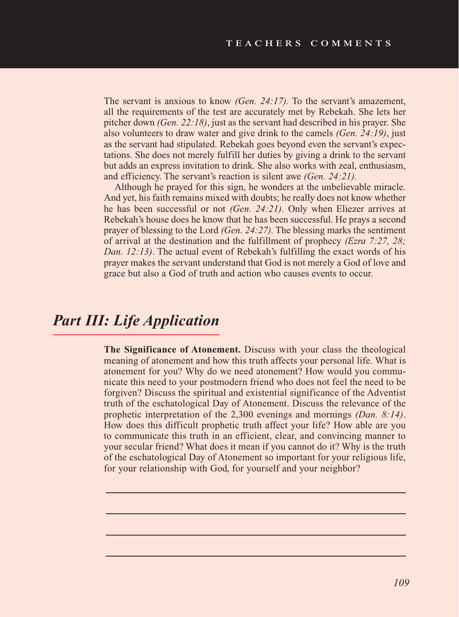The servant is anxious to know *(Gen. 24:17).* To the servant's amazement, all the requirements of the test are accurately met by Rebekah. She lets her pitcher down *(Gen. 22:18)*, just as the servant had described in his prayer. She also volunteers to draw water and give drink to the camels *(Gen. 24:19)*, just as the servant had stipulated. Rebekah goes beyond even the servant's expectations. She does not merely fulfill her duties by giving a drink to the servant but adds an express invitation to drink. She also works with zeal, enthusiasm, and efficiency. The servant's reaction is silent awe *(Gen. 24:21).*

Although he prayed for this sign, he wonders at the unbelievable miracle. And yet, his faith remains mixed with doubts; he really does not know whether he has been successful or not *(Gen. 24:21)*. Only when Eliezer arrives at Rebekah's house does he know that he has been successful. He prays a second prayer of blessing to the Lord *(Gen. 24:27).* The blessing marks the sentiment of arrival at the destination and the fulfillment of prophecy *(Ezra 7:27, 28; Dan. 12:13)*. The actual event of Rebekah's fulfilling the exact words of his prayer makes the servant understand that God is not merely a God of love and grace but also a God of truth and action who causes events to occur.

# *Part III: Life Application*

**The Significance of Atonement.** Discuss with your class the theological meaning of atonement and how this truth affects your personal life. What is atonement for you? Why do we need atonement? How would you communicate this need to your postmodern friend who does not feel the need to be forgiven? Discuss the spiritual and existential significance of the Adventist truth of the eschatological Day of Atonement. Discuss the relevance of the prophetic interpretation of the 2,300 evenings and mornings *(Dan. 8:14)*. How does this difficult prophetic truth affect your life? How able are you to communicate this truth in an efficient, clear, and convincing manner to your secular friend? What does it mean if you cannot do it? Why is the truth of the eschatological Day of Atonement so important for your religious life, for your relationship with God, for yourself and your neighbor?